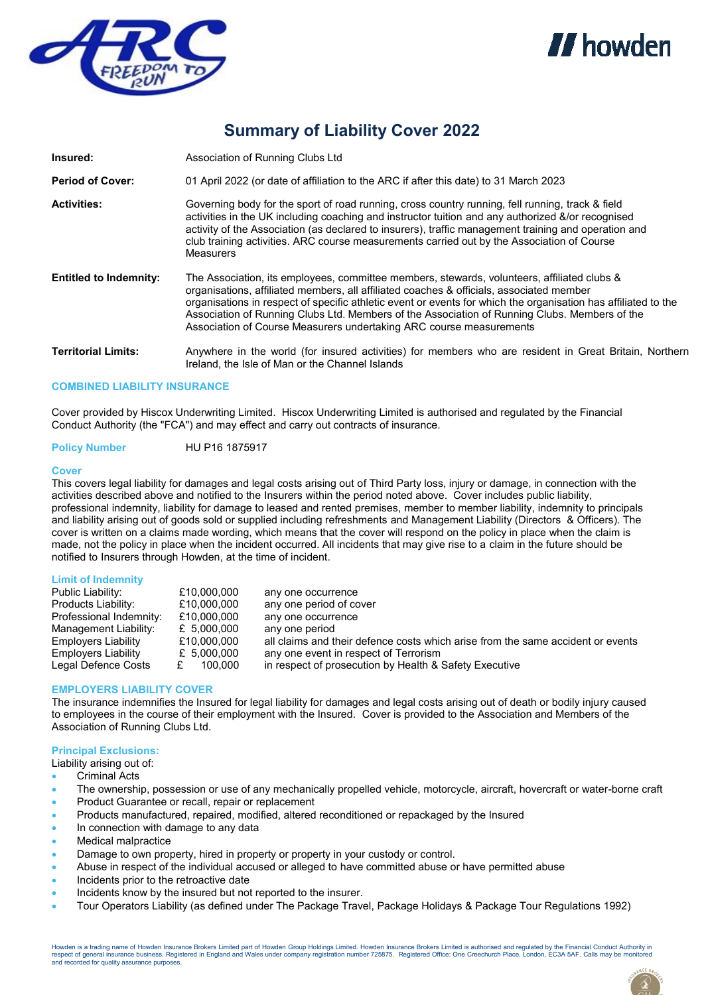



# **Summary of Liability Cover 2022**

| Insured:                      | Association of Running Clubs Ltd                                                                                                                                                                                                                                                                                                                                                                                                                                                  |  |
|-------------------------------|-----------------------------------------------------------------------------------------------------------------------------------------------------------------------------------------------------------------------------------------------------------------------------------------------------------------------------------------------------------------------------------------------------------------------------------------------------------------------------------|--|
| <b>Period of Cover:</b>       | 01 April 2022 (or date of affiliation to the ARC if after this date) to 31 March 2023                                                                                                                                                                                                                                                                                                                                                                                             |  |
| <b>Activities:</b>            | Governing body for the sport of road running, cross country running, fell running, track & field<br>activities in the UK including coaching and instructor tuition and any authorized &/or recognised<br>activity of the Association (as declared to insurers), traffic management training and operation and<br>club training activities. ARC course measurements carried out by the Association of Course<br><b>Measurers</b>                                                   |  |
| <b>Entitled to Indemnity:</b> | The Association, its employees, committee members, stewards, volunteers, affiliated clubs &<br>organisations, affiliated members, all affiliated coaches & officials, associated member<br>organisations in respect of specific athletic event or events for which the organisation has affiliated to the<br>Association of Running Clubs Ltd. Members of the Association of Running Clubs. Members of the<br>Association of Course Measurers undertaking ARC course measurements |  |
| <b>Territorial Limits:</b>    | Anywhere in the world (for insured activities) for members who are resident in Great Britain, Northern<br>Ireland, the Isle of Man or the Channel Islands                                                                                                                                                                                                                                                                                                                         |  |

## **COMBINED LIABILITY INSURANCE**

Cover provided by Hiscox Underwriting Limited. Hiscox Underwriting Limited is authorised and regulated by the Financial Conduct Authority (the "FCA") and may effect and carry out contracts of insurance.

## **Policy Number** HU P16 1875917

#### **Cover**

This covers legal liability for damages and legal costs arising out of Third Party loss, injury or damage, in connection with the activities described above and notified to the Insurers within the period noted above. Cover includes public liability, professional indemnity, liability for damage to leased and rented premises, member to member liability, indemnity to principals and liability arising out of goods sold or supplied including refreshments and Management Liability (Directors & Officers). The cover is written on a claims made wording, which means that the cover will respond on the policy in place when the claim is made, not the policy in place when the incident occurred. All incidents that may give rise to a claim in the future should be notified to Insurers through Howden, at the time of incident.

#### **Limit of Indemnity**

| Public Liability:          | £10,000,000  | any one occurrence                                                              |
|----------------------------|--------------|---------------------------------------------------------------------------------|
| Products Liability:        | £10,000,000  | any one period of cover                                                         |
| Professional Indemnity:    | £10,000,000  | any one occurrence                                                              |
| Management Liability:      | £ 5.000.000  | any one period                                                                  |
| <b>Employers Liability</b> | £10,000,000  | all claims and their defence costs which arise from the same accident or events |
| <b>Employers Liability</b> | £ 5,000,000  | any one event in respect of Terrorism                                           |
| Legal Defence Costs        | 100.000<br>£ | in respect of prosecution by Health & Safety Executive                          |

## **EMPLOYERS LIABILITY COVER**

The insurance indemnifies the Insured for legal liability for damages and legal costs arising out of death or bodily injury caused to employees in the course of their employment with the Insured. Cover is provided to the Association and Members of the Association of Running Clubs Ltd.

## **Principal Exclusions:**

Liability arising out of:

- Criminal Acts
- The ownership, possession or use of any mechanically propelled vehicle, motorcycle, aircraft, hovercraft or water-borne craft
- Product Guarantee or recall, repair or replacement
- Products manufactured, repaired, modified, altered reconditioned or repackaged by the Insured
- In connection with damage to any data
- Medical malpractice
- Damage to own property, hired in property or property in your custody or control.
- Abuse in respect of the individual accused or alleged to have committed abuse or have permitted abuse
- Incidents prior to the retroactive date
- Incidents know by the insured but not reported to the insurer.
- Tour Operators Liability (as defined under The Package Travel, Package Holidays & Package Tour Regulations 1992)